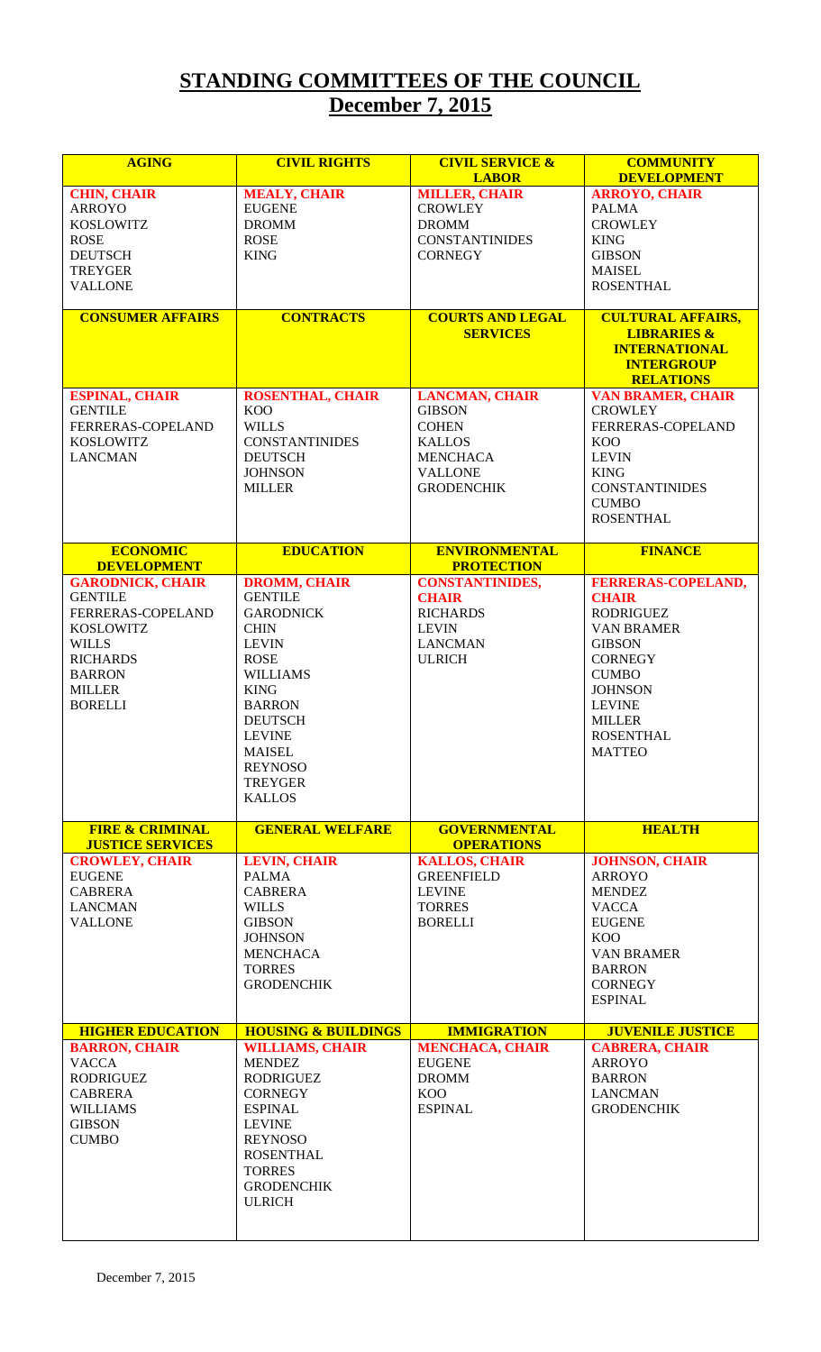## **STANDING COMMITTEES OF THE COUNCIL December 7, 2015**

| <b>AGING</b>                         | <b>CIVIL RIGHTS</b>                     | <b>CIVIL SERVICE &amp;</b>              | <b>COMMUNITY</b>                           |
|--------------------------------------|-----------------------------------------|-----------------------------------------|--------------------------------------------|
| <b>CHIN, CHAIR</b>                   | <b>MEALY, CHAIR</b>                     | <b>LABOR</b><br><b>MILLER, CHAIR</b>    | <b>DEVELOPMENT</b><br><b>ARROYO, CHAIR</b> |
| <b>ARROYO</b>                        | <b>EUGENE</b>                           | <b>CROWLEY</b>                          | <b>PALMA</b>                               |
| <b>KOSLOWITZ</b>                     | <b>DROMM</b>                            | <b>DROMM</b>                            | <b>CROWLEY</b>                             |
| <b>ROSE</b>                          | <b>ROSE</b>                             | <b>CONSTANTINIDES</b>                   | <b>KING</b>                                |
| <b>DEUTSCH</b>                       | <b>KING</b>                             | <b>CORNEGY</b>                          | <b>GIBSON</b>                              |
| <b>TREYGER</b>                       |                                         |                                         | <b>MAISEL</b>                              |
| <b>VALLONE</b>                       |                                         |                                         | <b>ROSENTHAL</b>                           |
| <b>CONSUMER AFFAIRS</b>              | <b>CONTRACTS</b>                        | <b>COURTS AND LEGAL</b>                 | <b>CULTURAL AFFAIRS,</b>                   |
|                                      |                                         | <b>SERVICES</b>                         | <b>LIBRARIES &amp;</b>                     |
|                                      |                                         |                                         | <b>INTERNATIONAL</b>                       |
|                                      |                                         |                                         | <b>INTERGROUP</b><br><b>RELATIONS</b>      |
| <b>ESPINAL, CHAIR</b>                | <b>ROSENTHAL, CHAIR</b>                 | <b>LANCMAN, CHAIR</b>                   | <b>VAN BRAMER, CHAIR</b>                   |
| <b>GENTILE</b>                       | <b>KOO</b>                              | <b>GIBSON</b>                           | <b>CROWLEY</b>                             |
| FERRERAS-COPELAND                    | <b>WILLS</b>                            | <b>COHEN</b>                            | FERRERAS-COPELAND                          |
| <b>KOSLOWITZ</b>                     | <b>CONSTANTINIDES</b>                   | <b>KALLOS</b>                           | <b>KOO</b>                                 |
| <b>LANCMAN</b>                       | <b>DEUTSCH</b><br><b>JOHNSON</b>        | <b>MENCHACA</b><br><b>VALLONE</b>       | <b>LEVIN</b><br><b>KING</b>                |
|                                      | <b>MILLER</b>                           | <b>GRODENCHIK</b>                       | <b>CONSTANTINIDES</b>                      |
|                                      |                                         |                                         | <b>CUMBO</b>                               |
|                                      |                                         |                                         | <b>ROSENTHAL</b>                           |
| <b>ECONOMIC</b>                      | <b>EDUCATION</b>                        | <b>ENVIRONMENTAL</b>                    | <b>FINANCE</b>                             |
| <b>DEVELOPMENT</b>                   |                                         | <b>PROTECTION</b>                       |                                            |
| <b>GARODNICK, CHAIR</b>              | <b>DROMM, CHAIR</b>                     | <b>CONSTANTINIDES,</b>                  | <b>FERRERAS-COPELAND,</b>                  |
| <b>GENTILE</b><br>FERRERAS-COPELAND  | <b>GENTILE</b><br><b>GARODNICK</b>      | <b>CHAIR</b><br><b>RICHARDS</b>         | <b>CHAIR</b><br><b>RODRIGUEZ</b>           |
| <b>KOSLOWITZ</b>                     | <b>CHIN</b>                             | <b>LEVIN</b>                            | <b>VAN BRAMER</b>                          |
| <b>WILLS</b>                         | <b>LEVIN</b>                            | <b>LANCMAN</b>                          | <b>GIBSON</b>                              |
| <b>RICHARDS</b>                      | <b>ROSE</b>                             | <b>ULRICH</b>                           | <b>CORNEGY</b>                             |
| <b>BARRON</b>                        | <b>WILLIAMS</b>                         |                                         | <b>CUMBO</b>                               |
| <b>MILLER</b>                        | <b>KING</b>                             |                                         | <b>JOHNSON</b>                             |
| <b>BORELLI</b>                       | <b>BARRON</b><br><b>DEUTSCH</b>         |                                         | <b>LEVINE</b>                              |
|                                      | <b>LEVINE</b>                           |                                         | <b>MILLER</b><br><b>ROSENTHAL</b>          |
|                                      | <b>MAISEL</b>                           |                                         | <b>MATTEO</b>                              |
|                                      | <b>REYNOSO</b>                          |                                         |                                            |
|                                      | TREYGER                                 |                                         |                                            |
|                                      | <b>KALLOS</b>                           |                                         |                                            |
| <b>FIRE &amp; CRIMINAL</b>           | <b>GENERAL WELFARE</b>                  | <b>GOVERNMENTAL</b>                     | <b>HEALTH</b>                              |
| <b>JUSTICE SERVICES</b>              |                                         | <b>OPERATIONS</b>                       |                                            |
| <b>CROWLEY, CHAIR</b>                | <b>LEVIN, CHAIR</b>                     | <b>KALLOS, CHAIR</b>                    | <b>JOHNSON, CHAIR</b>                      |
| <b>EUGENE</b><br><b>CABRERA</b>      | <b>PALMA</b><br><b>CABRERA</b>          | <b>GREENFIELD</b><br><b>LEVINE</b>      | <b>ARROYO</b><br><b>MENDEZ</b>             |
| <b>LANCMAN</b>                       | <b>WILLS</b>                            | <b>TORRES</b>                           | <b>VACCA</b>                               |
| <b>VALLONE</b>                       | <b>GIBSON</b>                           | <b>BORELLI</b>                          | <b>EUGENE</b>                              |
|                                      | <b>JOHNSON</b>                          |                                         | KOO                                        |
|                                      | <b>MENCHACA</b>                         |                                         | <b>VAN BRAMER</b>                          |
|                                      | <b>TORRES</b>                           |                                         | <b>BARRON</b>                              |
|                                      | <b>GRODENCHIK</b>                       |                                         | <b>CORNEGY</b><br><b>ESPINAL</b>           |
|                                      |                                         |                                         |                                            |
| <b>HIGHER EDUCATION</b>              | <b>HOUSING &amp; BUILDINGS</b>          | <b>IMMIGRATION</b>                      | <b>JUVENILE JUSTICE</b>                    |
| <b>BARRON, CHAIR</b><br><b>VACCA</b> | <b>WILLIAMS, CHAIR</b><br><b>MENDEZ</b> | <b>MENCHACA, CHAIR</b><br><b>EUGENE</b> | <b>CABRERA, CHAIR</b><br><b>ARROYO</b>     |
| <b>RODRIGUEZ</b>                     | <b>RODRIGUEZ</b>                        | <b>DROMM</b>                            | <b>BARRON</b>                              |
| <b>CABRERA</b>                       | <b>CORNEGY</b>                          | <b>KOO</b>                              | <b>LANCMAN</b>                             |
| <b>WILLIAMS</b>                      | <b>ESPINAL</b>                          | <b>ESPINAL</b>                          | <b>GRODENCHIK</b>                          |
| <b>GIBSON</b>                        | <b>LEVINE</b>                           |                                         |                                            |
| <b>CUMBO</b>                         | <b>REYNOSO</b>                          |                                         |                                            |
|                                      | <b>ROSENTHAL</b>                        |                                         |                                            |
|                                      | <b>TORRES</b><br><b>GRODENCHIK</b>      |                                         |                                            |
|                                      | <b>ULRICH</b>                           |                                         |                                            |
|                                      |                                         |                                         |                                            |
|                                      |                                         |                                         |                                            |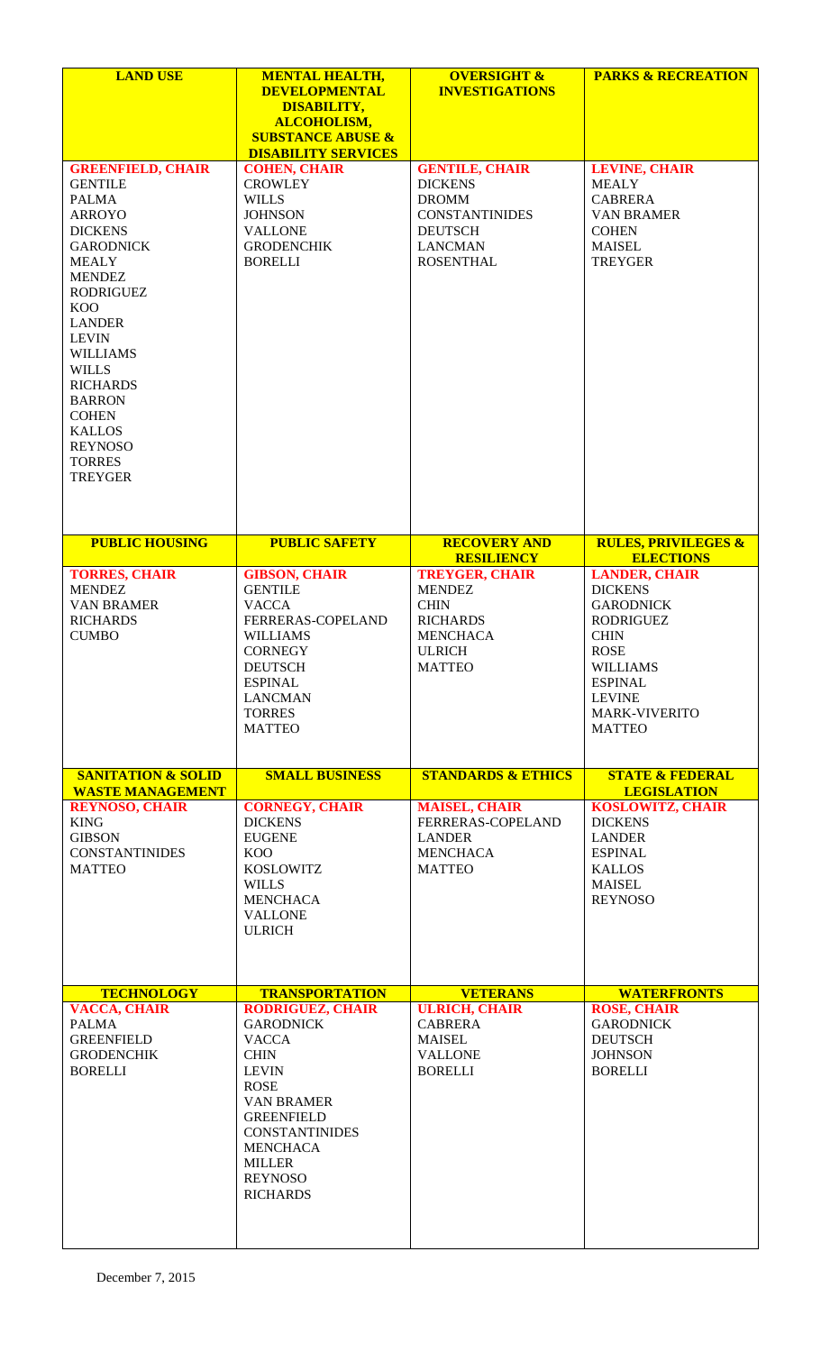| <b>LAND USE</b>                                                                                                                                                                                                                                                                                                                                                                    | <b>MENTAL HEALTH,</b><br><b>DEVELOPMENTAL</b><br><b>DISABILITY,</b><br><b>ALCOHOLISM,</b><br><b>SUBSTANCE ABUSE &amp;</b>                                                                                                                             | <b>OVERSIGHT &amp;</b><br><b>INVESTIGATIONS</b>                                                                                          | <b>PARKS &amp; RECREATION</b>                                                                                                                                                                 |
|------------------------------------------------------------------------------------------------------------------------------------------------------------------------------------------------------------------------------------------------------------------------------------------------------------------------------------------------------------------------------------|-------------------------------------------------------------------------------------------------------------------------------------------------------------------------------------------------------------------------------------------------------|------------------------------------------------------------------------------------------------------------------------------------------|-----------------------------------------------------------------------------------------------------------------------------------------------------------------------------------------------|
| <b>GREENFIELD, CHAIR</b><br><b>GENTILE</b><br><b>PALMA</b><br><b>ARROYO</b><br><b>DICKENS</b><br><b>GARODNICK</b><br><b>MEALY</b><br><b>MENDEZ</b><br><b>RODRIGUEZ</b><br><b>KOO</b><br><b>LANDER</b><br><b>LEVIN</b><br><b>WILLIAMS</b><br><b>WILLS</b><br><b>RICHARDS</b><br><b>BARRON</b><br><b>COHEN</b><br><b>KALLOS</b><br><b>REYNOSO</b><br><b>TORRES</b><br><b>TREYGER</b> | <b>DISABILITY SERVICES</b><br><b>COHEN, CHAIR</b><br><b>CROWLEY</b><br><b>WILLS</b><br><b>JOHNSON</b><br><b>VALLONE</b><br><b>GRODENCHIK</b><br><b>BORELLI</b>                                                                                        | <b>GENTILE, CHAIR</b><br><b>DICKENS</b><br><b>DROMM</b><br><b>CONSTANTINIDES</b><br><b>DEUTSCH</b><br><b>LANCMAN</b><br><b>ROSENTHAL</b> | <b>LEVINE, CHAIR</b><br><b>MEALY</b><br><b>CABRERA</b><br><b>VAN BRAMER</b><br><b>COHEN</b><br><b>MAISEL</b><br><b>TREYGER</b>                                                                |
| <b>PUBLIC HOUSING</b>                                                                                                                                                                                                                                                                                                                                                              | <b>PUBLIC SAFETY</b>                                                                                                                                                                                                                                  | <b>RECOVERY AND</b><br><b>RESILIENCY</b>                                                                                                 | <b>RULES, PRIVILEGES &amp;</b><br><b>ELECTIONS</b>                                                                                                                                            |
| <b>TORRES, CHAIR</b><br><b>MENDEZ</b><br><b>VAN BRAMER</b><br><b>RICHARDS</b><br><b>CUMBO</b>                                                                                                                                                                                                                                                                                      | <b>GIBSON, CHAIR</b><br><b>GENTILE</b><br><b>VACCA</b><br>FERRERAS-COPELAND<br><b>WILLIAMS</b><br><b>CORNEGY</b><br><b>DEUTSCH</b><br><b>ESPINAL</b><br><b>LANCMAN</b><br><b>TORRES</b><br><b>MATTEO</b>                                              | <b>TREYGER, CHAIR</b><br><b>MENDEZ</b><br><b>CHIN</b><br><b>RICHARDS</b><br><b>MENCHACA</b><br><b>ULRICH</b><br><b>MATTEO</b>            | <b>LANDER, CHAIR</b><br><b>DICKENS</b><br><b>GARODNICK</b><br>RODRIGUEZ<br><b>CHIN</b><br><b>ROSE</b><br><b>WILLIAMS</b><br><b>ESPINAL</b><br><b>LEVINE</b><br>MARK-VIVERITO<br><b>MATTEO</b> |
| <b>SANITATION &amp; SOLID</b><br><b>WASTE MANAGEMENT</b>                                                                                                                                                                                                                                                                                                                           | <b>SMALL BUSINESS</b>                                                                                                                                                                                                                                 | <b>STANDARDS &amp; ETHICS</b>                                                                                                            | <b>STATE &amp; FEDERAL</b><br><b>LEGISLATION</b>                                                                                                                                              |
| <b>REYNOSO, CHAIR</b><br><b>KING</b><br><b>GIBSON</b><br><b>CONSTANTINIDES</b><br><b>MATTEO</b>                                                                                                                                                                                                                                                                                    | <b>CORNEGY, CHAIR</b><br><b>DICKENS</b><br><b>EUGENE</b><br>KOO<br>KOSLOWITZ<br><b>WILLS</b><br><b>MENCHACA</b><br><b>VALLONE</b><br><b>ULRICH</b>                                                                                                    | <b>MAISEL, CHAIR</b><br>FERRERAS-COPELAND<br><b>LANDER</b><br><b>MENCHACA</b><br><b>MATTEO</b>                                           | <b>KOSLOWITZ, CHAIR</b><br><b>DICKENS</b><br><b>LANDER</b><br><b>ESPINAL</b><br><b>KALLOS</b><br><b>MAISEL</b><br><b>REYNOSO</b>                                                              |
| <b>TECHNOLOGY</b>                                                                                                                                                                                                                                                                                                                                                                  | <b>TRANSPORTATION</b>                                                                                                                                                                                                                                 | <b>VETERANS</b>                                                                                                                          | <b>WATERFRONTS</b>                                                                                                                                                                            |
| <b>VACCA, CHAIR</b><br><b>PALMA</b><br><b>GREENFIELD</b><br><b>GRODENCHIK</b><br><b>BORELLI</b>                                                                                                                                                                                                                                                                                    | <b>RODRIGUEZ, CHAIR</b><br><b>GARODNICK</b><br><b>VACCA</b><br><b>CHIN</b><br><b>LEVIN</b><br><b>ROSE</b><br><b>VAN BRAMER</b><br><b>GREENFIELD</b><br><b>CONSTANTINIDES</b><br><b>MENCHACA</b><br><b>MILLER</b><br><b>REYNOSO</b><br><b>RICHARDS</b> | <b>ULRICH, CHAIR</b><br><b>CABRERA</b><br><b>MAISEL</b><br><b>VALLONE</b><br><b>BORELLI</b>                                              | <b>ROSE, CHAIR</b><br><b>GARODNICK</b><br><b>DEUTSCH</b><br><b>JOHNSON</b><br><b>BORELLI</b>                                                                                                  |